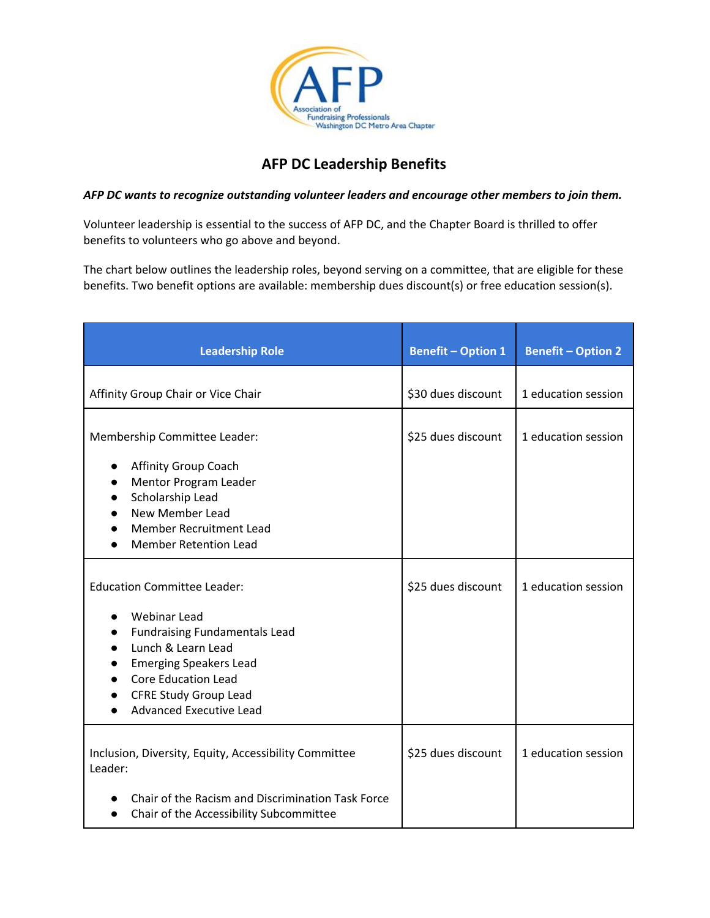

## **AFP DC Leadership Benefits**

## *AFP DC wants to recognize outstanding volunteer leaders and encourage other members to join them.*

Volunteer leadership is essential to the success of AFP DC, and the Chapter Board is thrilled to offer benefits to volunteers who go above and beyond.

The chart below outlines the leadership roles, beyond serving on a committee, that are eligible for these benefits. Two benefit options are available: membership dues discount(s) or free education session(s).

| <b>Leadership Role</b>                                                                                                                                                                                                                                   | <b>Benefit - Option 1</b> | <b>Benefit - Option 2</b> |
|----------------------------------------------------------------------------------------------------------------------------------------------------------------------------------------------------------------------------------------------------------|---------------------------|---------------------------|
| Affinity Group Chair or Vice Chair                                                                                                                                                                                                                       | \$30 dues discount        | 1 education session       |
| Membership Committee Leader:                                                                                                                                                                                                                             | \$25 dues discount        | 1 education session       |
| Affinity Group Coach<br>Mentor Program Leader<br>Scholarship Lead<br><b>New Member Lead</b><br><b>Member Recruitment Lead</b><br><b>Member Retention Lead</b>                                                                                            |                           |                           |
| <b>Education Committee Leader:</b><br><b>Webinar Lead</b><br><b>Fundraising Fundamentals Lead</b><br>Lunch & Learn Lead<br><b>Emerging Speakers Lead</b><br><b>Core Education Lead</b><br><b>CFRE Study Group Lead</b><br><b>Advanced Executive Lead</b> | \$25 dues discount        | 1 education session       |
| Inclusion, Diversity, Equity, Accessibility Committee<br>Leader:<br>Chair of the Racism and Discrimination Task Force<br>Chair of the Accessibility Subcommittee<br>$\bullet$                                                                            | \$25 dues discount        | 1 education session       |